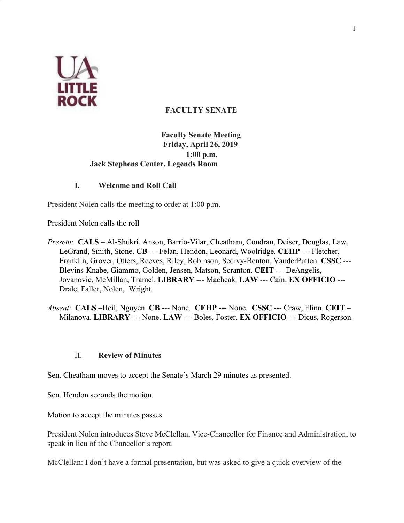

# **FACULTY SENATE**

## **Faculty Senate Meeting Friday, April 26, 2019 1:00 p.m. Jack Stephens Center, Legends Room**

## **I. Welcome and Roll Call**

President Nolen calls the meeting to order at 1:00 p.m.

President Nolen calls the roll

- *Present*: **CALS** Al-Shukri, Anson, Barrio-Vilar, Cheatham, Condran, Deiser, Douglas, Law, LeGrand, Smith, Stone. **CB** --- Felan, Hendon, Leonard, Woolridge. **CEHP** --- Fletcher, Franklin, Grover, Otters, Reeves, Riley, Robinson, Sedivy-Benton, VanderPutten. **CSSC** --- Blevins-Knabe, Giammo, Golden, Jensen, Matson, Scranton. **CEIT** --- DeAngelis, Jovanovic, McMillan, Tramel. **LIBRARY** --- Macheak. **LAW** --- Cain. **EX OFFICIO** --- Drale, Faller, Nolen, Wright.
- *Absent*: **CALS** –Heil, Nguyen. **CB** --- None. **CEHP** --- None. **CSSC** --- Craw, Flinn. **CEIT** Milanova. **LIBRARY** --- None. **LAW** --- Boles, Foster. **EX OFFICIO** --- Dicus, Rogerson.

#### II. **Review of Minutes**

Sen. Cheatham moves to accept the Senate's March 29 minutes as presented.

Sen. Hendon seconds the motion.

Motion to accept the minutes passes.

President Nolen introduces Steve McClellan, Vice-Chancellor for Finance and Administration, to speak in lieu of the Chancellor's report.

McClellan: I don't have a formal presentation, but was asked to give a quick overview of the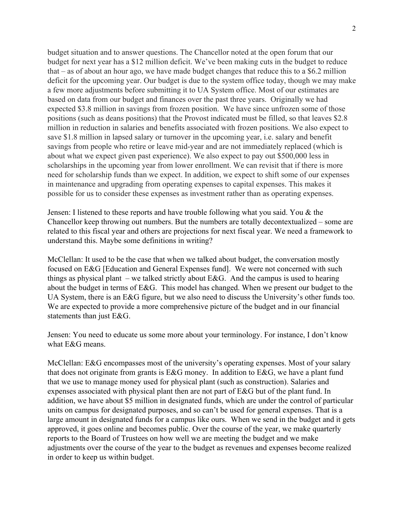budget situation and to answer questions. The Chancellor noted at the open forum that our budget for next year has a \$12 million deficit. We've been making cuts in the budget to reduce that – as of about an hour ago, we have made budget changes that reduce this to a \$6.2 million deficit for the upcoming year. Our budget is due to the system office today, though we may make a few more adjustments before submitting it to UA System office. Most of our estimates are based on data from our budget and finances over the past three years. Originally we had expected \$3.8 million in savings from frozen position. We have since unfrozen some of those positions (such as deans positions) that the Provost indicated must be filled, so that leaves \$2.8 million in reduction in salaries and benefits associated with frozen positions. We also expect to save \$1.8 million in lapsed salary or turnover in the upcoming year, i.e. salary and benefit savings from people who retire or leave mid-year and are not immediately replaced (which is about what we expect given past experience). We also expect to pay out \$500,000 less in scholarships in the upcoming year from lower enrollment. We can revisit that if there is more need for scholarship funds than we expect. In addition, we expect to shift some of our expenses in maintenance and upgrading from operating expenses to capital expenses. This makes it possible for us to consider these expenses as investment rather than as operating expenses.

Jensen: I listened to these reports and have trouble following what you said. You & the Chancellor keep throwing out numbers. But the numbers are totally decontextualized – some are related to this fiscal year and others are projections for next fiscal year. We need a framework to understand this. Maybe some definitions in writing?

McClellan: It used to be the case that when we talked about budget, the conversation mostly focused on E&G [Education and General Expenses fund]. We were not concerned with such things as physical plant – we talked strictly about E&G. And the campus is used to hearing about the budget in terms of E&G. This model has changed. When we present our budget to the UA System, there is an E&G figure, but we also need to discuss the University's other funds too. We are expected to provide a more comprehensive picture of the budget and in our financial statements than just E&G.

Jensen: You need to educate us some more about your terminology. For instance, I don't know what E&G means.

McClellan: E&G encompasses most of the university's operating expenses. Most of your salary that does not originate from grants is E&G money. In addition to E&G, we have a plant fund that we use to manage money used for physical plant (such as construction). Salaries and expenses associated with physical plant then are not part of E&G but of the plant fund. In addition, we have about \$5 million in designated funds, which are under the control of particular units on campus for designated purposes, and so can't be used for general expenses. That is a large amount in designated funds for a campus like ours. When we send in the budget and it gets approved, it goes online and becomes public. Over the course of the year, we make quarterly reports to the Board of Trustees on how well we are meeting the budget and we make adjustments over the course of the year to the budget as revenues and expenses become realized in order to keep us within budget.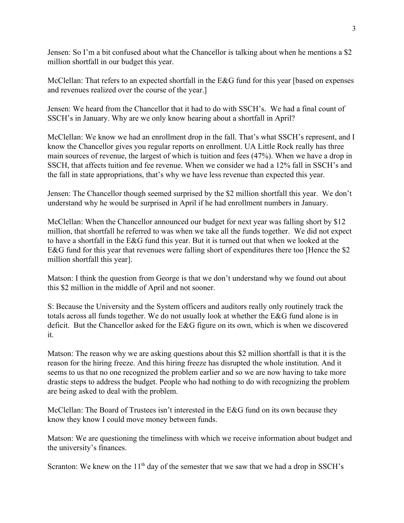Jensen: So I'm a bit confused about what the Chancellor is talking about when he mentions a \$2 million shortfall in our budget this year.

McClellan: That refers to an expected shortfall in the E&G fund for this year [based on expenses and revenues realized over the course of the year.]

Jensen: We heard from the Chancellor that it had to do with SSCH's. We had a final count of SSCH's in January. Why are we only know hearing about a shortfall in April?

McClellan: We know we had an enrollment drop in the fall. That's what SSCH's represent, and I know the Chancellor gives you regular reports on enrollment. UA Little Rock really has three main sources of revenue, the largest of which is tuition and fees (47%). When we have a drop in SSCH, that affects tuition and fee revenue. When we consider we had a 12% fall in SSCH's and the fall in state appropriations, that's why we have less revenue than expected this year.

Jensen: The Chancellor though seemed surprised by the \$2 million shortfall this year. We don't understand why he would be surprised in April if he had enrollment numbers in January.

McClellan: When the Chancellor announced our budget for next year was falling short by \$12 million, that shortfall he referred to was when we take all the funds together. We did not expect to have a shortfall in the E&G fund this year. But it is turned out that when we looked at the E&G fund for this year that revenues were falling short of expenditures there too [Hence the \$2 million shortfall this year].

Matson: I think the question from George is that we don't understand why we found out about this \$2 million in the middle of April and not sooner.

S: Because the University and the System officers and auditors really only routinely track the totals across all funds together. We do not usually look at whether the E&G fund alone is in deficit. But the Chancellor asked for the E&G figure on its own, which is when we discovered it.

Matson: The reason why we are asking questions about this \$2 million shortfall is that it is the reason for the hiring freeze. And this hiring freeze has disrupted the whole institution. And it seems to us that no one recognized the problem earlier and so we are now having to take more drastic steps to address the budget. People who had nothing to do with recognizing the problem are being asked to deal with the problem.

McClellan: The Board of Trustees isn't interested in the E&G fund on its own because they know they know I could move money between funds.

Matson: We are questioning the timeliness with which we receive information about budget and the university's finances.

Scranton: We knew on the  $11<sup>th</sup>$  day of the semester that we saw that we had a drop in SSCH's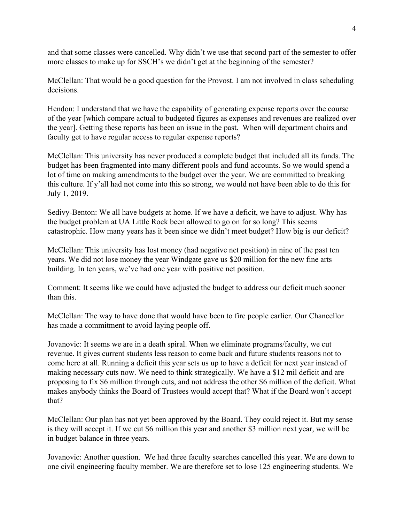and that some classes were cancelled. Why didn't we use that second part of the semester to offer more classes to make up for SSCH's we didn't get at the beginning of the semester?

McClellan: That would be a good question for the Provost. I am not involved in class scheduling decisions.

Hendon: I understand that we have the capability of generating expense reports over the course of the year [which compare actual to budgeted figures as expenses and revenues are realized over the year]. Getting these reports has been an issue in the past. When will department chairs and faculty get to have regular access to regular expense reports?

McClellan: This university has never produced a complete budget that included all its funds. The budget has been fragmented into many different pools and fund accounts. So we would spend a lot of time on making amendments to the budget over the year. We are committed to breaking this culture. If y'all had not come into this so strong, we would not have been able to do this for July 1, 2019.

Sedivy-Benton: We all have budgets at home. If we have a deficit, we have to adjust. Why has the budget problem at UA Little Rock been allowed to go on for so long? This seems catastrophic. How many years has it been since we didn't meet budget? How big is our deficit?

McClellan: This university has lost money (had negative net position) in nine of the past ten years. We did not lose money the year Windgate gave us \$20 million for the new fine arts building. In ten years, we've had one year with positive net position.

Comment: It seems like we could have adjusted the budget to address our deficit much sooner than this.

McClellan: The way to have done that would have been to fire people earlier. Our Chancellor has made a commitment to avoid laying people off.

Jovanovic: It seems we are in a death spiral. When we eliminate programs/faculty, we cut revenue. It gives current students less reason to come back and future students reasons not to come here at all. Running a deficit this year sets us up to have a deficit for next year instead of making necessary cuts now. We need to think strategically. We have a \$12 mil deficit and are proposing to fix \$6 million through cuts, and not address the other \$6 million of the deficit. What makes anybody thinks the Board of Trustees would accept that? What if the Board won't accept that?

McClellan: Our plan has not yet been approved by the Board. They could reject it. But my sense is they will accept it. If we cut \$6 million this year and another \$3 million next year, we will be in budget balance in three years.

Jovanovic: Another question. We had three faculty searches cancelled this year. We are down to one civil engineering faculty member. We are therefore set to lose 125 engineering students. We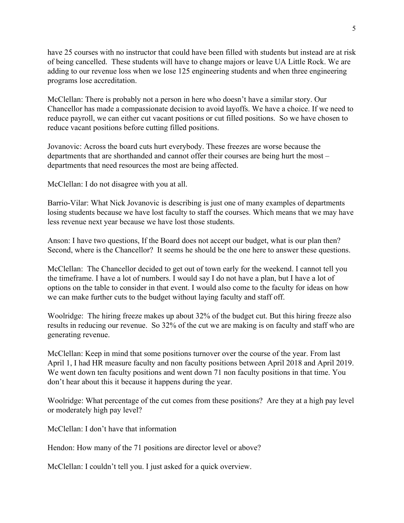have 25 courses with no instructor that could have been filled with students but instead are at risk of being cancelled. These students will have to change majors or leave UA Little Rock. We are adding to our revenue loss when we lose 125 engineering students and when three engineering programs lose accreditation.

McClellan: There is probably not a person in here who doesn't have a similar story. Our Chancellor has made a compassionate decision to avoid layoffs. We have a choice. If we need to reduce payroll, we can either cut vacant positions or cut filled positions. So we have chosen to reduce vacant positions before cutting filled positions.

Jovanovic: Across the board cuts hurt everybody. These freezes are worse because the departments that are shorthanded and cannot offer their courses are being hurt the most – departments that need resources the most are being affected.

McClellan: I do not disagree with you at all.

Barrio-Vilar: What Nick Jovanovic is describing is just one of many examples of departments losing students because we have lost faculty to staff the courses. Which means that we may have less revenue next year because we have lost those students.

Anson: I have two questions, If the Board does not accept our budget, what is our plan then? Second, where is the Chancellor? It seems he should be the one here to answer these questions.

McClellan: The Chancellor decided to get out of town early for the weekend. I cannot tell you the timeframe. I have a lot of numbers. I would say I do not have a plan, but I have a lot of options on the table to consider in that event. I would also come to the faculty for ideas on how we can make further cuts to the budget without laying faculty and staff off.

Woolridge: The hiring freeze makes up about 32% of the budget cut. But this hiring freeze also results in reducing our revenue. So 32% of the cut we are making is on faculty and staff who are generating revenue.

McClellan: Keep in mind that some positions turnover over the course of the year. From last April 1, I had HR measure faculty and non faculty positions between April 2018 and April 2019. We went down ten faculty positions and went down 71 non faculty positions in that time. You don't hear about this it because it happens during the year.

Woolridge: What percentage of the cut comes from these positions? Are they at a high pay level or moderately high pay level?

McClellan: I don't have that information

Hendon: How many of the 71 positions are director level or above?

McClellan: I couldn't tell you. I just asked for a quick overview.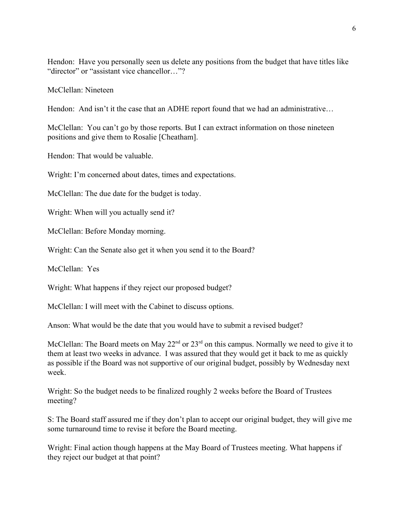Hendon: Have you personally seen us delete any positions from the budget that have titles like "director" or "assistant vice chancellor…"?

McClellan: Nineteen

Hendon: And isn't it the case that an ADHE report found that we had an administrative...

McClellan: You can't go by those reports. But I can extract information on those nineteen positions and give them to Rosalie [Cheatham].

Hendon: That would be valuable.

Wright: I'm concerned about dates, times and expectations.

McClellan: The due date for the budget is today.

Wright: When will you actually send it?

McClellan: Before Monday morning.

Wright: Can the Senate also get it when you send it to the Board?

McClellan: Yes

Wright: What happens if they reject our proposed budget?

McClellan: I will meet with the Cabinet to discuss options.

Anson: What would be the date that you would have to submit a revised budget?

McClellan: The Board meets on May  $22<sup>nd</sup>$  or  $23<sup>rd</sup>$  on this campus. Normally we need to give it to them at least two weeks in advance. I was assured that they would get it back to me as quickly as possible if the Board was not supportive of our original budget, possibly by Wednesday next week.

Wright: So the budget needs to be finalized roughly 2 weeks before the Board of Trustees meeting?

S: The Board staff assured me if they don't plan to accept our original budget, they will give me some turnaround time to revise it before the Board meeting.

Wright: Final action though happens at the May Board of Trustees meeting. What happens if they reject our budget at that point?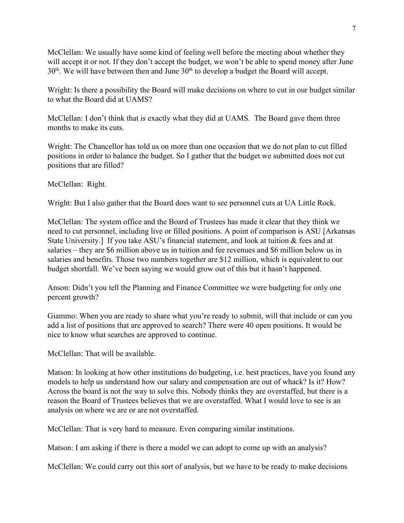McClellan: We usually have some kind of feeling well before the meeting about whether they will accept it or not. If they don't accept the budget, we won't be able to spend money after June  $30<sup>th</sup>$ . We will have between then and June  $30<sup>th</sup>$  to develop a budget the Board will accept.

Wright: Is there a possibility the Board will make decisions on where to cut in our budget similar to what the Board did at UAMS?

McClellan: I don't think that is exactly what they did at UAMS. The Board gave them three months to make its cuts.

Wright: The Chancellor has told us on more than one occasion that we do not plan to cut filled positions in order to balance the budget. So I gather that the budget we submitted does not cut positions that are filled?

McClellan: Right.

Wright: But I also gather that the Board does want to see personnel cuts at UA Little Rock.

McClellan: The system office and the Board of Trustees has made it clear that they think we need to cut personnel, including live or filled positions. A point of comparison is ASU [Arkansas State University.] If you take ASU's financial statement, and look at tuition & fees and at salaries – they are \$6 million above us in tuition and fee revenues and \$6 million below us in salaries and benefits. Those two numbers together are \$12 million, which is equivalent to our budget shortfall. We've been saying we would grow out of this but it hasn't happened.

Anson: Didn't you tell the Planning and Finance Committee we were budgeting for only one percent growth?

Giammo: When you are ready to share what you're ready to submit, will that include or can you add a list of positions that are approved to search? There were 40 open positions. It would be nice to know what searches are approved to continue.

McClellan: That will be available.

Matson: In looking at how other institutions do budgeting, i.e. best practices, have you found any models to help us understand how our salary and compensation are out of whack? Is it? How? Across the board is not the way to solve this. Nobody thinks they are overstaffed, but there is a reason the Board of Trustees believes that we are overstaffed. What I would love to see is an analysis on where we are or are not overstaffed.

McClellan: That is very hard to measure. Even comparing similar institutions.

Matson: I am asking if there is there a model we can adopt to come up with an analysis?

McClellan: We could carry out this sort of analysis, but we have to be ready to make decisions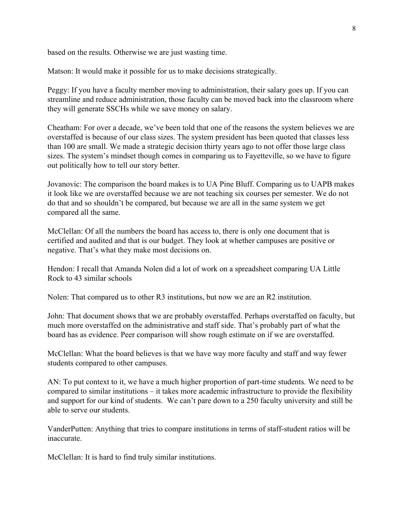based on the results. Otherwise we are just wasting time.

Matson: It would make it possible for us to make decisions strategically.

Peggy: If you have a faculty member moving to administration, their salary goes up. If you can streamline and reduce administration, those faculty can be moved back into the classroom where they will generate SSCHs while we save money on salary.

Cheatham: For over a decade, we've been told that one of the reasons the system believes we are overstaffed is because of our class sizes. The system president has been quoted that classes less than 100 are small. We made a strategic decision thirty years ago to not offer those large class sizes. The system's mindset though comes in comparing us to Fayetteville, so we have to figure out politically how to tell our story better.

Jovanovic: The comparison the board makes is to UA Pine Bluff. Comparing us to UAPB makes it look like we are overstaffed because we are not teaching six courses per semester. We do not do that and so shouldn't be compared, but because we are all in the same system we get compared all the same.

McClellan: Of all the numbers the board has access to, there is only one document that is certified and audited and that is our budget. They look at whether campuses are positive or negative. That's what they make most decisions on.

Hendon: I recall that Amanda Nolen did a lot of work on a spreadsheet comparing UA Little Rock to 43 similar schools

Nolen: That compared us to other R3 institutions, but now we are an R2 institution.

John: That document shows that we are probably overstaffed. Perhaps overstaffed on faculty, but much more overstaffed on the administrative and staff side. That's probably part of what the board has as evidence. Peer comparison will show rough estimate on if we are overstaffed.

McClellan: What the board believes is that we have way more faculty and staff and way fewer students compared to other campuses.

AN: To put context to it, we have a much higher proportion of part-time students. We need to be compared to similar institutions – it takes more academic infrastructure to provide the flexibility and support for our kind of students. We can't pare down to a 250 faculty university and still be able to serve our students.

VanderPutten: Anything that tries to compare institutions in terms of staff-student ratios will be inaccurate.

McClellan: It is hard to find truly similar institutions.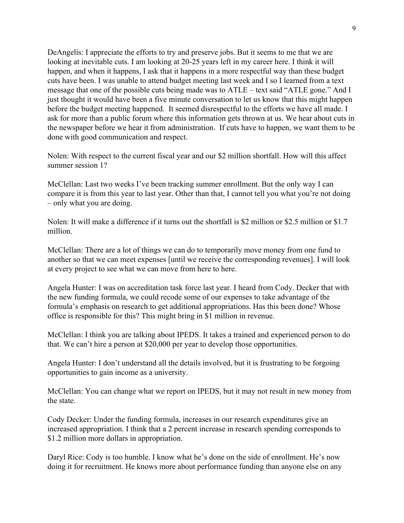DeAngelis: I appreciate the efforts to try and preserve jobs. But it seems to me that we are looking at inevitable cuts. I am looking at 20-25 years left in my career here. I think it will happen, and when it happens, I ask that it happens in a more respectful way than these budget cuts have been. I was unable to attend budget meeting last week and I so I learned from a text message that one of the possible cuts being made was to ATLE – text said "ATLE gone." And I just thought it would have been a five minute conversation to let us know that this might happen before the budget meeting happened. It seemed disrespectful to the efforts we have all made. I ask for more than a public forum where this information gets thrown at us. We hear about cuts in the newspaper before we hear it from administration. If cuts have to happen, we want them to be done with good communication and respect.

Nolen: With respect to the current fiscal year and our \$2 million shortfall. How will this affect summer session 1?

McClellan: Last two weeks I've been tracking summer enrollment. But the only way I can compare it is from this year to last year. Other than that, I cannot tell you what you're not doing – only what you are doing.

Nolen: It will make a difference if it turns out the shortfall is \$2 million or \$2.5 million or \$1.7 million.

McClellan: There are a lot of things we can do to temporarily move money from one fund to another so that we can meet expenses [until we receive the corresponding revenues]. I will look at every project to see what we can move from here to here.

Angela Hunter: I was on accreditation task force last year. I heard from Cody. Decker that with the new funding formula, we could recode some of our expenses to take advantage of the formula's emphasis on research to get additional appropriations. Has this been done? Whose office is responsible for this? This might bring in \$1 million in revenue.

McClellan: I think you are talking about IPEDS. It takes a trained and experienced person to do that. We can't hire a person at \$20,000 per year to develop those opportunities.

Angela Hunter: I don't understand all the details involved, but it is frustrating to be forgoing opportunities to gain income as a university.

McClellan: You can change what we report on IPEDS, but it may not result in new money from the state.

Cody Decker: Under the funding formula, increases in our research expenditures give an increased appropriation. I think that a 2 percent increase in research spending corresponds to \$1.2 million more dollars in appropriation.

Daryl Rice: Cody is too humble. I know what he's done on the side of enrollment. He's now doing it for recruitment. He knows more about performance funding than anyone else on any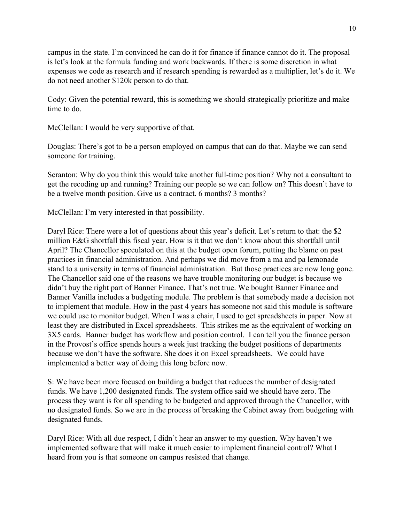campus in the state. I'm convinced he can do it for finance if finance cannot do it. The proposal is let's look at the formula funding and work backwards. If there is some discretion in what expenses we code as research and if research spending is rewarded as a multiplier, let's do it. We do not need another \$120k person to do that.

Cody: Given the potential reward, this is something we should strategically prioritize and make time to do.

McClellan: I would be very supportive of that.

Douglas: There's got to be a person employed on campus that can do that. Maybe we can send someone for training.

Scranton: Why do you think this would take another full-time position? Why not a consultant to get the recoding up and running? Training our people so we can follow on? This doesn't have to be a twelve month position. Give us a contract. 6 months? 3 months?

McClellan: I'm very interested in that possibility.

Daryl Rice: There were a lot of questions about this year's deficit. Let's return to that: the \$2 million E&G shortfall this fiscal year. How is it that we don't know about this shortfall until April? The Chancellor speculated on this at the budget open forum, putting the blame on past practices in financial administration. And perhaps we did move from a ma and pa lemonade stand to a university in terms of financial administration. But those practices are now long gone. The Chancellor said one of the reasons we have trouble monitoring our budget is because we didn't buy the right part of Banner Finance. That's not true. We bought Banner Finance and Banner Vanilla includes a budgeting module. The problem is that somebody made a decision not to implement that module. How in the past 4 years has someone not said this module is software we could use to monitor budget. When I was a chair, I used to get spreadsheets in paper. Now at least they are distributed in Excel spreadsheets. This strikes me as the equivalent of working on 3X5 cards. Banner budget has workflow and position control. I can tell you the finance person in the Provost's office spends hours a week just tracking the budget positions of departments because we don't have the software. She does it on Excel spreadsheets. We could have implemented a better way of doing this long before now.

S: We have been more focused on building a budget that reduces the number of designated funds. We have 1,200 designated funds. The system office said we should have zero. The process they want is for all spending to be budgeted and approved through the Chancellor, with no designated funds. So we are in the process of breaking the Cabinet away from budgeting with designated funds.

Daryl Rice: With all due respect, I didn't hear an answer to my question. Why haven't we implemented software that will make it much easier to implement financial control? What I heard from you is that someone on campus resisted that change.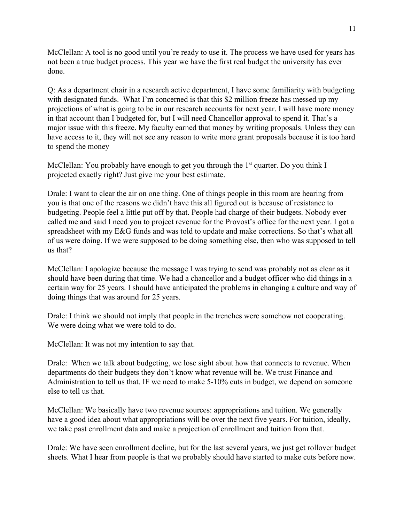McClellan: A tool is no good until you're ready to use it. The process we have used for years has not been a true budget process. This year we have the first real budget the university has ever done.

Q: As a department chair in a research active department, I have some familiarity with budgeting with designated funds. What I'm concerned is that this \$2 million freeze has messed up my projections of what is going to be in our research accounts for next year. I will have more money in that account than I budgeted for, but I will need Chancellor approval to spend it. That's a major issue with this freeze. My faculty earned that money by writing proposals. Unless they can have access to it, they will not see any reason to write more grant proposals because it is too hard to spend the money

McClellan: You probably have enough to get you through the  $1<sup>st</sup>$  quarter. Do you think I projected exactly right? Just give me your best estimate.

Drale: I want to clear the air on one thing. One of things people in this room are hearing from you is that one of the reasons we didn't have this all figured out is because of resistance to budgeting. People feel a little put off by that. People had charge of their budgets. Nobody ever called me and said I need you to project revenue for the Provost's office for the next year. I got a spreadsheet with my E&G funds and was told to update and make corrections. So that's what all of us were doing. If we were supposed to be doing something else, then who was supposed to tell us that?

McClellan: I apologize because the message I was trying to send was probably not as clear as it should have been during that time. We had a chancellor and a budget officer who did things in a certain way for 25 years. I should have anticipated the problems in changing a culture and way of doing things that was around for 25 years.

Drale: I think we should not imply that people in the trenches were somehow not cooperating. We were doing what we were told to do.

McClellan: It was not my intention to say that.

Drale: When we talk about budgeting, we lose sight about how that connects to revenue. When departments do their budgets they don't know what revenue will be. We trust Finance and Administration to tell us that. IF we need to make 5-10% cuts in budget, we depend on someone else to tell us that.

McClellan: We basically have two revenue sources: appropriations and tuition. We generally have a good idea about what appropriations will be over the next five years. For tuition, ideally, we take past enrollment data and make a projection of enrollment and tuition from that.

Drale: We have seen enrollment decline, but for the last several years, we just get rollover budget sheets. What I hear from people is that we probably should have started to make cuts before now.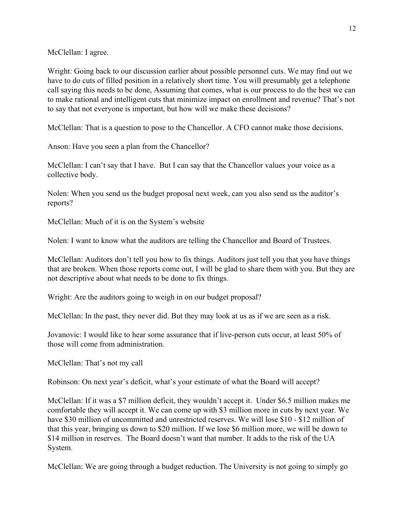McClellan: I agree.

Wright: Going back to our discussion earlier about possible personnel cuts. We may find out we have to do cuts of filled position in a relatively short time. You will presumably get a telephone call saying this needs to be done, Assuming that comes, what is our process to do the best we can to make rational and intelligent cuts that minimize impact on enrollment and revenue? That's not to say that not everyone is important, but how will we make these decisions?

McClellan: That is a question to pose to the Chancellor. A CFO cannot make those decisions.

Anson: Have you seen a plan from the Chancellor?

McClellan: I can't say that I have. But I can say that the Chancellor values your voice as a collective body.

Nolen: When you send us the budget proposal next week, can you also send us the auditor's reports?

McClellan: Much of it is on the System's website

Nolen: I want to know what the auditors are telling the Chancellor and Board of Trustees.

McClellan: Auditors don't tell you how to fix things. Auditors just tell you that you have things that are broken. When those reports come out, I will be glad to share them with you. But they are not descriptive about what needs to be done to fix things.

Wright: Are the auditors going to weigh in on our budget proposal?

McClellan: In the past, they never did. But they may look at us as if we are seen as a risk.

Jovanovic: I would like to hear some assurance that if live-person cuts occur, at least 50% of those will come from administration.

McClellan: That's not my call

Robinson: On next year's deficit, what's your estimate of what the Board will accept?

McClellan: If it was a \$7 million deficit, they wouldn't accept it. Under \$6.5 million makes me comfortable they will accept it. We can come up with \$3 million more in cuts by next year. We have \$30 million of uncommitted and unrestricted reserves. We will lose \$10 - \$12 million of that this year, bringing us down to \$20 million. If we lose \$6 million more, we will be down to \$14 million in reserves. The Board doesn't want that number. It adds to the risk of the UA System.

McClellan: We are going through a budget reduction. The University is not going to simply go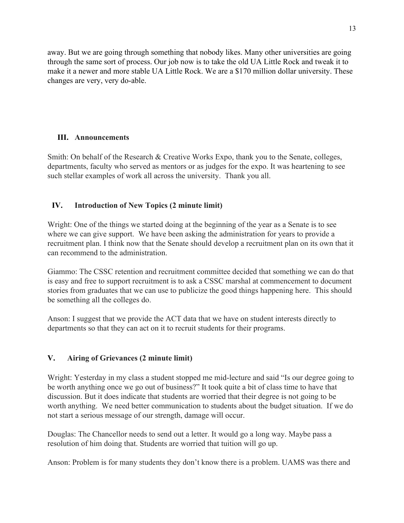away. But we are going through something that nobody likes. Many other universities are going through the same sort of process. Our job now is to take the old UA Little Rock and tweak it to make it a newer and more stable UA Little Rock. We are a \$170 million dollar university. These changes are very, very do-able.

### **III. Announcements**

Smith: On behalf of the Research & Creative Works Expo, thank you to the Senate, colleges, departments, faculty who served as mentors or as judges for the expo. It was heartening to see such stellar examples of work all across the university. Thank you all.

## **IV. Introduction of New Topics (2 minute limit)**

Wright: One of the things we started doing at the beginning of the year as a Senate is to see where we can give support. We have been asking the administration for years to provide a recruitment plan. I think now that the Senate should develop a recruitment plan on its own that it can recommend to the administration.

Giammo: The CSSC retention and recruitment committee decided that something we can do that is easy and free to support recruitment is to ask a CSSC marshal at commencement to document stories from graduates that we can use to publicize the good things happening here. This should be something all the colleges do.

Anson: I suggest that we provide the ACT data that we have on student interests directly to departments so that they can act on it to recruit students for their programs.

# **V. Airing of Grievances (2 minute limit)**

Wright: Yesterday in my class a student stopped me mid-lecture and said "Is our degree going to be worth anything once we go out of business?" It took quite a bit of class time to have that discussion. But it does indicate that students are worried that their degree is not going to be worth anything. We need better communication to students about the budget situation. If we do not start a serious message of our strength, damage will occur.

Douglas: The Chancellor needs to send out a letter. It would go a long way. Maybe pass a resolution of him doing that. Students are worried that tuition will go up.

Anson: Problem is for many students they don't know there is a problem. UAMS was there and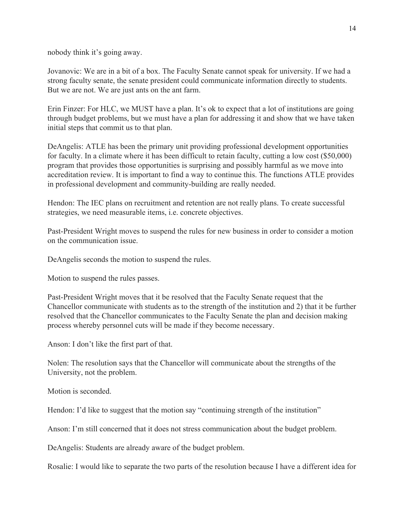nobody think it's going away.

Jovanovic: We are in a bit of a box. The Faculty Senate cannot speak for university. If we had a strong faculty senate, the senate president could communicate information directly to students. But we are not. We are just ants on the ant farm.

Erin Finzer: For HLC, we MUST have a plan. It's ok to expect that a lot of institutions are going through budget problems, but we must have a plan for addressing it and show that we have taken initial steps that commit us to that plan.

DeAngelis: ATLE has been the primary unit providing professional development opportunities for faculty. In a climate where it has been difficult to retain faculty, cutting a low cost (\$50,000) program that provides those opportunities is surprising and possibly harmful as we move into accreditation review. It is important to find a way to continue this. The functions ATLE provides in professional development and community-building are really needed.

Hendon: The IEC plans on recruitment and retention are not really plans. To create successful strategies, we need measurable items, i.e. concrete objectives.

Past-President Wright moves to suspend the rules for new business in order to consider a motion on the communication issue.

DeAngelis seconds the motion to suspend the rules.

Motion to suspend the rules passes.

Past-President Wright moves that it be resolved that the Faculty Senate request that the Chancellor communicate with students as to the strength of the institution and 2) that it be further resolved that the Chancellor communicates to the Faculty Senate the plan and decision making process whereby personnel cuts will be made if they become necessary.

Anson: I don't like the first part of that.

Nolen: The resolution says that the Chancellor will communicate about the strengths of the University, not the problem.

Motion is seconded.

Hendon: I'd like to suggest that the motion say "continuing strength of the institution"

Anson: I'm still concerned that it does not stress communication about the budget problem.

DeAngelis: Students are already aware of the budget problem.

Rosalie: I would like to separate the two parts of the resolution because I have a different idea for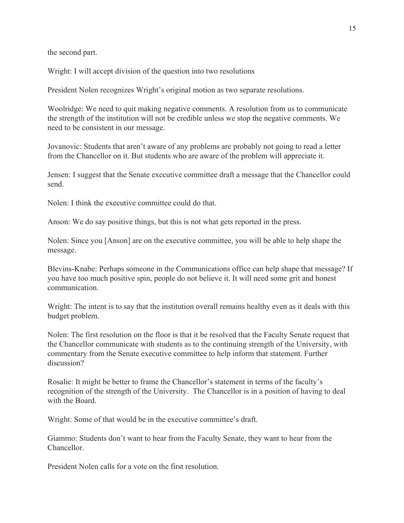the second part.

Wright: I will accept division of the question into two resolutions

President Nolen recognizes Wright's original motion as two separate resolutions.

Woolridge: We need to quit making negative comments. A resolution from us to communicate the strength of the institution will not be credible unless we stop the negative comments. We need to be consistent in our message.

Jovanovic: Students that aren't aware of any problems are probably not going to read a letter from the Chancellor on it. But students who are aware of the problem will appreciate it.

Jensen: I suggest that the Senate executive committee draft a message that the Chancellor could send.

Nolen: I think the executive committee could do that.

Anson: We do say positive things, but this is not what gets reported in the press.

Nolen: Since you [Anson] are on the executive committee, you will be able to help shape the message.

Blevins-Knabe: Perhaps someone in the Communications office can help shape that message? If you have too much positive spin, people do not believe it. It will need some grit and honest communication.

Wright: The intent is to say that the institution overall remains healthy even as it deals with this budget problem.

Nolen: The first resolution on the floor is that it be resolved that the Faculty Senate request that the Chancellor communicate with students as to the continuing strength of the University, with commentary from the Senate executive committee to help inform that statement. Further discussion?

Rosalie: It might be better to frame the Chancellor's statement in terms of the faculty's recognition of the strength of the University. The Chancellor is in a position of having to deal with the Board.

Wright: Some of that would be in the executive committee's draft.

Giammo: Students don't want to hear from the Faculty Senate, they want to hear from the Chancellor.

President Nolen calls for a vote on the first resolution.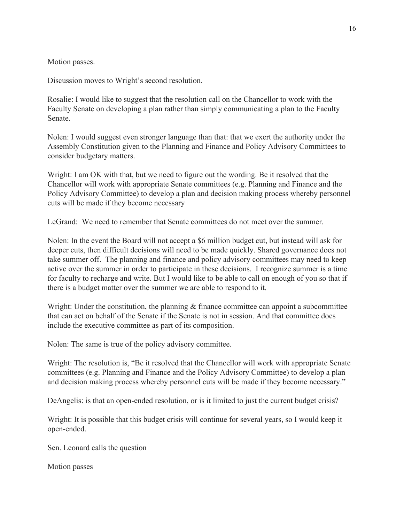Motion passes.

Discussion moves to Wright's second resolution.

Rosalie: I would like to suggest that the resolution call on the Chancellor to work with the Faculty Senate on developing a plan rather than simply communicating a plan to the Faculty Senate.

Nolen: I would suggest even stronger language than that: that we exert the authority under the Assembly Constitution given to the Planning and Finance and Policy Advisory Committees to consider budgetary matters.

Wright: I am OK with that, but we need to figure out the wording. Be it resolved that the Chancellor will work with appropriate Senate committees (e.g. Planning and Finance and the Policy Advisory Committee) to develop a plan and decision making process whereby personnel cuts will be made if they become necessary

LeGrand: We need to remember that Senate committees do not meet over the summer.

Nolen: In the event the Board will not accept a \$6 million budget cut, but instead will ask for deeper cuts, then difficult decisions will need to be made quickly. Shared governance does not take summer off. The planning and finance and policy advisory committees may need to keep active over the summer in order to participate in these decisions. I recognize summer is a time for faculty to recharge and write. But I would like to be able to call on enough of you so that if there is a budget matter over the summer we are able to respond to it.

Wright: Under the constitution, the planning  $\&$  finance committee can appoint a subcommittee that can act on behalf of the Senate if the Senate is not in session. And that committee does include the executive committee as part of its composition.

Nolen: The same is true of the policy advisory committee.

Wright: The resolution is, "Be it resolved that the Chancellor will work with appropriate Senate committees (e.g. Planning and Finance and the Policy Advisory Committee) to develop a plan and decision making process whereby personnel cuts will be made if they become necessary."

DeAngelis: is that an open-ended resolution, or is it limited to just the current budget crisis?

Wright: It is possible that this budget crisis will continue for several years, so I would keep it open-ended.

Sen. Leonard calls the question

Motion passes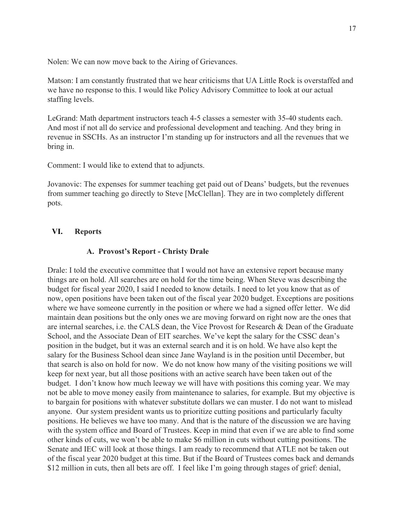Nolen: We can now move back to the Airing of Grievances.

Matson: I am constantly frustrated that we hear criticisms that UA Little Rock is overstaffed and we have no response to this. I would like Policy Advisory Committee to look at our actual staffing levels.

LeGrand: Math department instructors teach 4-5 classes a semester with 35-40 students each. And most if not all do service and professional development and teaching. And they bring in revenue in SSCHs. As an instructor I'm standing up for instructors and all the revenues that we bring in.

Comment: I would like to extend that to adjuncts.

Jovanovic: The expenses for summer teaching get paid out of Deans' budgets, but the revenues from summer teaching go directly to Steve [McClellan]. They are in two completely different pots.

#### **VI. Reports**

#### **A. Provost's Report - Christy Drale**

Drale: I told the executive committee that I would not have an extensive report because many things are on hold. All searches are on hold for the time being. When Steve was describing the budget for fiscal year 2020, I said I needed to know details. I need to let you know that as of now, open positions have been taken out of the fiscal year 2020 budget. Exceptions are positions where we have someone currently in the position or where we had a signed offer letter. We did maintain dean positions but the only ones we are moving forward on right now are the ones that are internal searches, i.e. the CALS dean, the Vice Provost for Research & Dean of the Graduate School, and the Associate Dean of EIT searches. We've kept the salary for the CSSC dean's position in the budget, but it was an external search and it is on hold. We have also kept the salary for the Business School dean since Jane Wayland is in the position until December, but that search is also on hold for now. We do not know how many of the visiting positions we will keep for next year, but all those positions with an active search have been taken out of the budget. I don't know how much leeway we will have with positions this coming year. We may not be able to move money easily from maintenance to salaries, for example. But my objective is to bargain for positions with whatever substitute dollars we can muster. I do not want to mislead anyone. Our system president wants us to prioritize cutting positions and particularly faculty positions. He believes we have too many. And that is the nature of the discussion we are having with the system office and Board of Trustees. Keep in mind that even if we are able to find some other kinds of cuts, we won't be able to make \$6 million in cuts without cutting positions. The Senate and IEC will look at those things. I am ready to recommend that ATLE not be taken out of the fiscal year 2020 budget at this time. But if the Board of Trustees comes back and demands \$12 million in cuts, then all bets are off. I feel like I'm going through stages of grief: denial,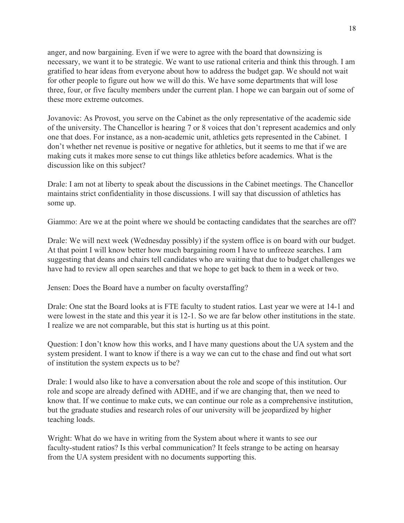anger, and now bargaining. Even if we were to agree with the board that downsizing is necessary, we want it to be strategic. We want to use rational criteria and think this through. I am gratified to hear ideas from everyone about how to address the budget gap. We should not wait for other people to figure out how we will do this. We have some departments that will lose three, four, or five faculty members under the current plan. I hope we can bargain out of some of these more extreme outcomes.

Jovanovic: As Provost, you serve on the Cabinet as the only representative of the academic side of the university. The Chancellor is hearing 7 or 8 voices that don't represent academics and only one that does. For instance, as a non-academic unit, athletics gets represented in the Cabinet. I don't whether net revenue is positive or negative for athletics, but it seems to me that if we are making cuts it makes more sense to cut things like athletics before academics. What is the discussion like on this subject?

Drale: I am not at liberty to speak about the discussions in the Cabinet meetings. The Chancellor maintains strict confidentiality in those discussions. I will say that discussion of athletics has some up.

Giammo: Are we at the point where we should be contacting candidates that the searches are off?

Drale: We will next week (Wednesday possibly) if the system office is on board with our budget. At that point I will know better how much bargaining room I have to unfreeze searches. I am suggesting that deans and chairs tell candidates who are waiting that due to budget challenges we have had to review all open searches and that we hope to get back to them in a week or two.

Jensen: Does the Board have a number on faculty overstaffing?

Drale: One stat the Board looks at is FTE faculty to student ratios. Last year we were at 14-1 and were lowest in the state and this year it is 12-1. So we are far below other institutions in the state. I realize we are not comparable, but this stat is hurting us at this point.

Question: I don't know how this works, and I have many questions about the UA system and the system president. I want to know if there is a way we can cut to the chase and find out what sort of institution the system expects us to be?

Drale: I would also like to have a conversation about the role and scope of this institution. Our role and scope are already defined with ADHE, and if we are changing that, then we need to know that. If we continue to make cuts, we can continue our role as a comprehensive institution, but the graduate studies and research roles of our university will be jeopardized by higher teaching loads.

Wright: What do we have in writing from the System about where it wants to see our faculty-student ratios? Is this verbal communication? It feels strange to be acting on hearsay from the UA system president with no documents supporting this.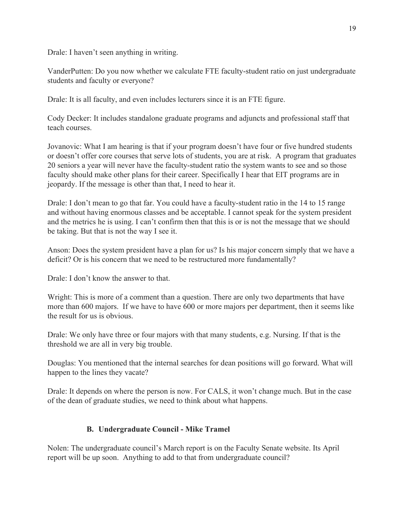Drale: I haven't seen anything in writing.

VanderPutten: Do you now whether we calculate FTE faculty-student ratio on just undergraduate students and faculty or everyone?

Drale: It is all faculty, and even includes lecturers since it is an FTE figure.

Cody Decker: It includes standalone graduate programs and adjuncts and professional staff that teach courses.

Jovanovic: What I am hearing is that if your program doesn't have four or five hundred students or doesn't offer core courses that serve lots of students, you are at risk. A program that graduates 20 seniors a year will never have the faculty-student ratio the system wants to see and so those faculty should make other plans for their career. Specifically I hear that EIT programs are in jeopardy. If the message is other than that, I need to hear it.

Drale: I don't mean to go that far. You could have a faculty-student ratio in the 14 to 15 range and without having enormous classes and be acceptable. I cannot speak for the system president and the metrics he is using. I can't confirm then that this is or is not the message that we should be taking. But that is not the way I see it.

Anson: Does the system president have a plan for us? Is his major concern simply that we have a deficit? Or is his concern that we need to be restructured more fundamentally?

Drale: I don't know the answer to that.

Wright: This is more of a comment than a question. There are only two departments that have more than 600 majors. If we have to have 600 or more majors per department, then it seems like the result for us is obvious.

Drale: We only have three or four majors with that many students, e.g. Nursing. If that is the threshold we are all in very big trouble.

Douglas: You mentioned that the internal searches for dean positions will go forward. What will happen to the lines they vacate?

Drale: It depends on where the person is now. For CALS, it won't change much. But in the case of the dean of graduate studies, we need to think about what happens.

## **B. Undergraduate Council - Mike Tramel**

Nolen: The undergraduate council's March report is on the Faculty Senate website. Its April report will be up soon. Anything to add to that from undergraduate council?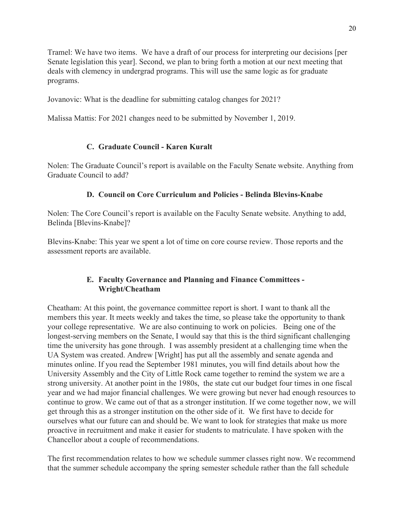Tramel: We have two items. We have a draft of our process for interpreting our decisions [per Senate legislation this year]. Second, we plan to bring forth a motion at our next meeting that deals with clemency in undergrad programs. This will use the same logic as for graduate programs.

Jovanovic: What is the deadline for submitting catalog changes for 2021?

Malissa Mattis: For 2021 changes need to be submitted by November 1, 2019.

# **C. Graduate Council - Karen Kuralt**

Nolen: The Graduate Council's report is available on the Faculty Senate website. Anything from Graduate Council to add?

# **D. Council on Core Curriculum and Policies - Belinda Blevins-Knabe**

Nolen: The Core Council's report is available on the Faculty Senate website. Anything to add, Belinda [Blevins-Knabe]?

Blevins-Knabe: This year we spent a lot of time on core course review. Those reports and the assessment reports are available.

# **E. Faculty Governance and Planning and Finance Committees - Wright/Cheatham**

Cheatham: At this point, the governance committee report is short. I want to thank all the members this year. It meets weekly and takes the time, so please take the opportunity to thank your college representative. We are also continuing to work on policies. Being one of the longest-serving members on the Senate, I would say that this is the third significant challenging time the university has gone through. I was assembly president at a challenging time when the UA System was created. Andrew [Wright] has put all the assembly and senate agenda and minutes online. If you read the September 1981 minutes, you will find details about how the University Assembly and the City of Little Rock came together to remind the system we are a strong university. At another point in the 1980s, the state cut our budget four times in one fiscal year and we had major financial challenges. We were growing but never had enough resources to continue to grow. We came out of that as a stronger institution. If we come together now, we will get through this as a stronger institution on the other side of it. We first have to decide for ourselves what our future can and should be. We want to look for strategies that make us more proactive in recruitment and make it easier for students to matriculate. I have spoken with the Chancellor about a couple of recommendations.

The first recommendation relates to how we schedule summer classes right now. We recommend that the summer schedule accompany the spring semester schedule rather than the fall schedule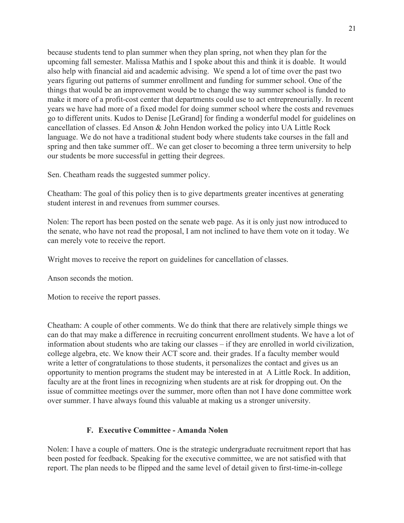because students tend to plan summer when they plan spring, not when they plan for the upcoming fall semester. Malissa Mathis and I spoke about this and think it is doable. It would also help with financial aid and academic advising. We spend a lot of time over the past two years figuring out patterns of summer enrollment and funding for summer school. One of the things that would be an improvement would be to change the way summer school is funded to make it more of a profit-cost center that departments could use to act entrepreneurially. In recent years we have had more of a fixed model for doing summer school where the costs and revenues go to different units. Kudos to Denise [LeGrand] for finding a wonderful model for guidelines on cancellation of classes. Ed Anson & John Hendon worked the policy into UA Little Rock language. We do not have a traditional student body where students take courses in the fall and spring and then take summer off.. We can get closer to becoming a three term university to help our students be more successful in getting their degrees.

Sen. Cheatham reads the suggested summer policy.

Cheatham: The goal of this policy then is to give departments greater incentives at generating student interest in and revenues from summer courses.

Nolen: The report has been posted on the senate web page. As it is only just now introduced to the senate, who have not read the proposal, I am not inclined to have them vote on it today. We can merely vote to receive the report.

Wright moves to receive the report on guidelines for cancellation of classes.

Anson seconds the motion.

Motion to receive the report passes.

Cheatham: A couple of other comments. We do think that there are relatively simple things we can do that may make a difference in recruiting concurrent enrollment students. We have a lot of information about students who are taking our classes – if they are enrolled in world civilization, college algebra, etc. We know their ACT score and. their grades. If a faculty member would write a letter of congratulations to those students, it personalizes the contact and gives us an opportunity to mention programs the student may be interested in at A Little Rock. In addition, faculty are at the front lines in recognizing when students are at risk for dropping out. On the issue of committee meetings over the summer, more often than not I have done committee work over summer. I have always found this valuable at making us a stronger university.

## **F. Executive Committee - Amanda Nolen**

Nolen: I have a couple of matters. One is the strategic undergraduate recruitment report that has been posted for feedback. Speaking for the executive committee, we are not satisfied with that report. The plan needs to be flipped and the same level of detail given to first-time-in-college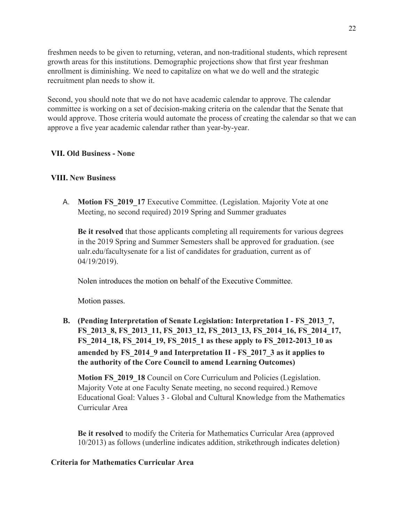freshmen needs to be given to returning, veteran, and non-traditional students, which represent growth areas for this institutions. Demographic projections show that first year freshman enrollment is diminishing. We need to capitalize on what we do well and the strategic recruitment plan needs to show it.

Second, you should note that we do not have academic calendar to approve. The calendar committee is working on a set of decision-making criteria on the calendar that the Senate that would approve. Those criteria would automate the process of creating the calendar so that we can approve a five year academic calendar rather than year-by-year.

### **VII. Old Business - None**

#### **VIII. New Business**

A. **Motion FS 2019 17** Executive Committee. (Legislation. Majority Vote at one Meeting, no second required) 2019 Spring and Summer graduates

**Be it resolved** that those applicants completing all requirements for various degrees in the 2019 Spring and Summer Semesters shall be approved for graduation. (see ualr.edu/facultysenate for a list of candidates for graduation, current as of 04/19/2019).

Nolen introduces the motion on behalf of the Executive Committee.

Motion passes.

**B. (Pending Interpretation of Senate Legislation: Interpretation I - FS\_2013\_7, FS\_2013\_8, FS\_2013\_11, FS\_2013\_12, FS\_2013\_13, FS\_2014\_16, FS\_2014\_17, FS\_2014\_18, FS\_2014\_19, FS\_2015\_1 as these apply to FS\_2012-2013\_10 as amended by FS\_2014\_9 and Interpretation II - FS\_2017\_3 as it applies to the authority of the Core Council to amend Learning Outcomes)**

**Motion FS\_2019\_18** Council on Core Curriculum and Policies (Legislation. Majority Vote at one Faculty Senate meeting, no second required.) Remove Educational Goal: Values 3 - Global and Cultural Knowledge from the Mathematics Curricular Area

**Be it resolved** to modify the Criteria for Mathematics Curricular Area (approved 10/2013) as follows (underline indicates addition, strikethrough indicates deletion)

#### **Criteria for Mathematics Curricular Area**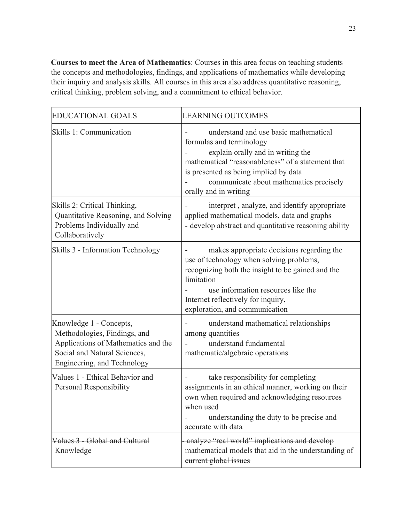**Courses to meet the Area of Mathematics**: Courses in this area focus on teaching students the concepts and methodologies, findings, and applications of mathematics while developing their inquiry and analysis skills. All courses in this area also address quantitative reasoning, critical thinking, problem solving, and a commitment to ethical behavior.

| <b>EDUCATIONAL GOALS</b>                                                                                                                                      | <b>LEARNING OUTCOMES</b>                                                                                                                                                                                                                                                 |
|---------------------------------------------------------------------------------------------------------------------------------------------------------------|--------------------------------------------------------------------------------------------------------------------------------------------------------------------------------------------------------------------------------------------------------------------------|
| Skills 1: Communication                                                                                                                                       | understand and use basic mathematical<br>formulas and terminology<br>explain orally and in writing the<br>mathematical "reasonableness" of a statement that<br>is presented as being implied by data<br>communicate about mathematics precisely<br>orally and in writing |
| Skills 2: Critical Thinking,<br>Quantitative Reasoning, and Solving<br>Problems Individually and<br>Collaboratively                                           | interpret, analyze, and identify appropriate<br>applied mathematical models, data and graphs<br>- develop abstract and quantitative reasoning ability                                                                                                                    |
| Skills 3 - Information Technology                                                                                                                             | makes appropriate decisions regarding the<br>use of technology when solving problems,<br>recognizing both the insight to be gained and the<br>limitation<br>use information resources like the<br>Internet reflectively for inquiry,<br>exploration, and communication   |
| Knowledge 1 - Concepts,<br>Methodologies, Findings, and<br>Applications of Mathematics and the<br>Social and Natural Sciences,<br>Engineering, and Technology | understand mathematical relationships<br>among quantities<br>understand fundamental<br>mathematic/algebraic operations                                                                                                                                                   |
| Values 1 - Ethical Behavior and<br>Personal Responsibility                                                                                                    | take responsibility for completing<br>assignments in an ethical manner, working on their<br>own when required and acknowledging resources<br>when used<br>understanding the duty to be precise and<br>accurate with data                                                 |
| Values 3 - Global and Cultural<br>Knowledge                                                                                                                   | analyze "real world" implications and develop<br>mathematical models that aid in the understanding of<br>eurrent global issues                                                                                                                                           |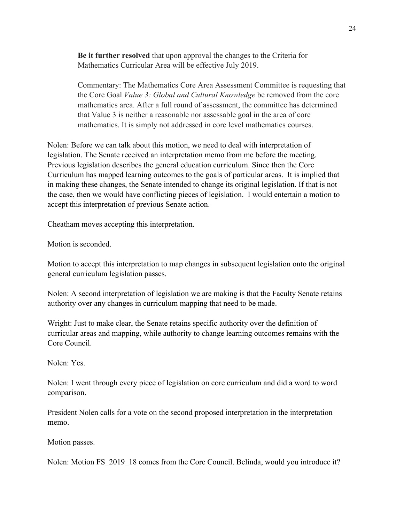**Be it further resolved** that upon approval the changes to the Criteria for Mathematics Curricular Area will be effective July 2019.

Commentary: The Mathematics Core Area Assessment Committee is requesting that the Core Goal *Value 3: Global and Cultural Knowledge* be removed from the core mathematics area. After a full round of assessment, the committee has determined that Value 3 is neither a reasonable nor assessable goal in the area of core mathematics. It is simply not addressed in core level mathematics courses.

Nolen: Before we can talk about this motion, we need to deal with interpretation of legislation. The Senate received an interpretation memo from me before the meeting. Previous legislation describes the general education curriculum. Since then the Core Curriculum has mapped learning outcomes to the goals of particular areas. It is implied that in making these changes, the Senate intended to change its original legislation. If that is not the case, then we would have conflicting pieces of legislation. I would entertain a motion to accept this interpretation of previous Senate action.

Cheatham moves accepting this interpretation.

Motion is seconded.

Motion to accept this interpretation to map changes in subsequent legislation onto the original general curriculum legislation passes.

Nolen: A second interpretation of legislation we are making is that the Faculty Senate retains authority over any changes in curriculum mapping that need to be made.

Wright: Just to make clear, the Senate retains specific authority over the definition of curricular areas and mapping, while authority to change learning outcomes remains with the Core Council.

Nolen: Yes.

Nolen: I went through every piece of legislation on core curriculum and did a word to word comparison.

President Nolen calls for a vote on the second proposed interpretation in the interpretation memo.

Motion passes.

Nolen: Motion FS 2019 18 comes from the Core Council. Belinda, would you introduce it?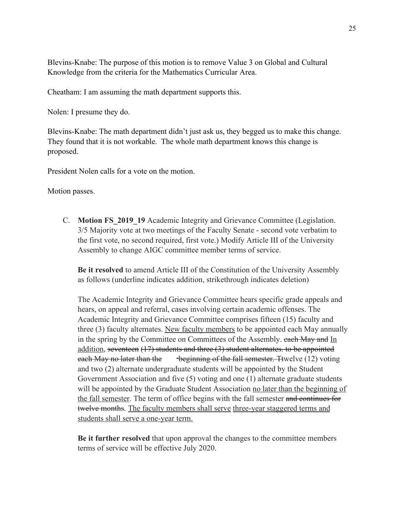Blevins-Knabe: The purpose of this motion is to remove Value 3 on Global and Cultural Knowledge from the criteria for the Mathematics Curricular Area.

Cheatham: I am assuming the math department supports this.

Nolen: I presume they do.

Blevins-Knabe: The math department didn't just ask us, they begged us to make this change. They found that it is not workable. The whole math department knows this change is proposed.

President Nolen calls for a vote on the motion.

Motion passes.

C. **Motion FS\_2019\_19** Academic Integrity and Grievance Committee (Legislation. 3/5 Majority vote at two meetings of the Faculty Senate - second vote verbatim to the first vote, no second required, first vote.) Modify Article III of the University Assembly to change AIGC committee member terms of service.

**Be it resolved** to amend Article III of the Constitution of the University Assembly as follows (underline indicates addition, strikethrough indicates deletion)

The Academic Integrity and Grievance Committee hears specific grade appeals and hears, on appeal and referral, cases involving certain academic offenses. The Academic Integrity and Grievance Committee comprises fifteen (15) faculty and three (3) faculty alternates. New faculty members to be appointed each May annually in the spring by the Committee on Committees of the Assembly. each May and In addition, seventeen  $(17)$  students and three  $(3)$  student alternates, to be appointed each May no later than the beginning of the fall semester. Ttwelve (12) voting and two (2) alternate undergraduate students will be appointed by the Student Government Association and five (5) voting and one (1) alternate graduate students will be appointed by the Graduate Student Association no later than the beginning of the fall semester. The term of office begins with the fall semester and continues for twelve months. The faculty members shall serve three-year staggered terms and students shall serve a one-year term.

**Be it further resolved** that upon approval the changes to the committee members terms of service will be effective July 2020.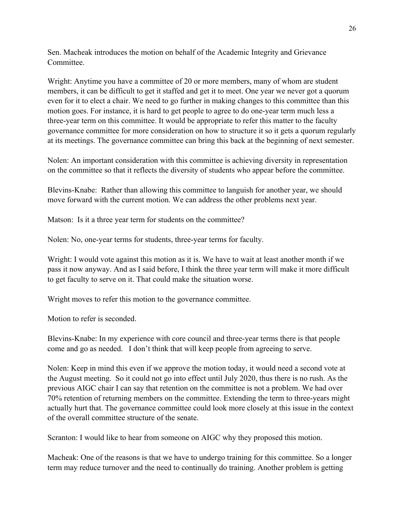Sen. Macheak introduces the motion on behalf of the Academic Integrity and Grievance Committee.

Wright: Anytime you have a committee of 20 or more members, many of whom are student members, it can be difficult to get it staffed and get it to meet. One year we never got a quorum even for it to elect a chair. We need to go further in making changes to this committee than this motion goes. For instance, it is hard to get people to agree to do one-year term much less a three-year term on this committee. It would be appropriate to refer this matter to the faculty governance committee for more consideration on how to structure it so it gets a quorum regularly at its meetings. The governance committee can bring this back at the beginning of next semester.

Nolen: An important consideration with this committee is achieving diversity in representation on the committee so that it reflects the diversity of students who appear before the committee.

Blevins-Knabe: Rather than allowing this committee to languish for another year, we should move forward with the current motion. We can address the other problems next year.

Matson: Is it a three year term for students on the committee?

Nolen: No, one-year terms for students, three-year terms for faculty.

Wright: I would vote against this motion as it is. We have to wait at least another month if we pass it now anyway. And as I said before, I think the three year term will make it more difficult to get faculty to serve on it. That could make the situation worse.

Wright moves to refer this motion to the governance committee.

Motion to refer is seconded.

Blevins-Knabe: In my experience with core council and three-year terms there is that people come and go as needed. I don't think that will keep people from agreeing to serve.

Nolen: Keep in mind this even if we approve the motion today, it would need a second vote at the August meeting. So it could not go into effect until July 2020, thus there is no rush. As the previous AIGC chair I can say that retention on the committee is not a problem. We had over 70% retention of returning members on the committee. Extending the term to three-years might actually hurt that. The governance committee could look more closely at this issue in the context of the overall committee structure of the senate.

Scranton: I would like to hear from someone on AIGC why they proposed this motion.

Macheak: One of the reasons is that we have to undergo training for this committee. So a longer term may reduce turnover and the need to continually do training. Another problem is getting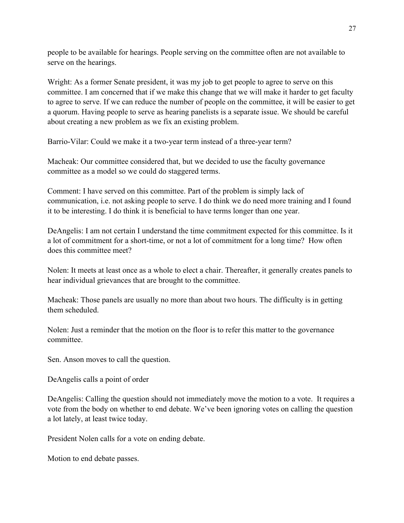people to be available for hearings. People serving on the committee often are not available to serve on the hearings.

Wright: As a former Senate president, it was my job to get people to agree to serve on this committee. I am concerned that if we make this change that we will make it harder to get faculty to agree to serve. If we can reduce the number of people on the committee, it will be easier to get a quorum. Having people to serve as hearing panelists is a separate issue. We should be careful about creating a new problem as we fix an existing problem.

Barrio-Vilar: Could we make it a two-year term instead of a three-year term?

Macheak: Our committee considered that, but we decided to use the faculty governance committee as a model so we could do staggered terms.

Comment: I have served on this committee. Part of the problem is simply lack of communication, i.e. not asking people to serve. I do think we do need more training and I found it to be interesting. I do think it is beneficial to have terms longer than one year.

DeAngelis: I am not certain I understand the time commitment expected for this committee. Is it a lot of commitment for a short-time, or not a lot of commitment for a long time? How often does this committee meet?

Nolen: It meets at least once as a whole to elect a chair. Thereafter, it generally creates panels to hear individual grievances that are brought to the committee.

Macheak: Those panels are usually no more than about two hours. The difficulty is in getting them scheduled.

Nolen: Just a reminder that the motion on the floor is to refer this matter to the governance committee.

Sen. Anson moves to call the question.

DeAngelis calls a point of order

DeAngelis: Calling the question should not immediately move the motion to a vote. It requires a vote from the body on whether to end debate. We've been ignoring votes on calling the question a lot lately, at least twice today.

President Nolen calls for a vote on ending debate.

Motion to end debate passes.